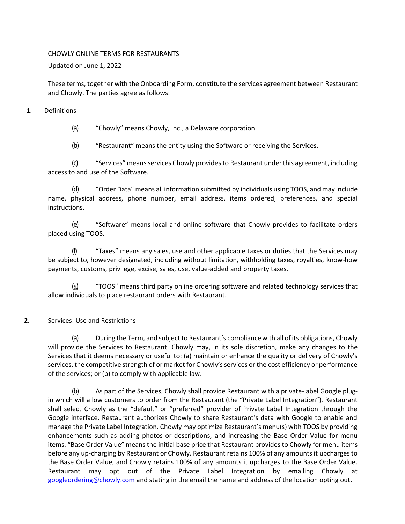#### CHOWLY ONLINE TERMS FOR RESTAURANTS

Updated on June 1, 2022

These terms, together with the Onboarding Form, constitute the services agreement between Restaurant and Chowly. The parties agree as follows:

### **1**. Definitions

(a) "Chowly" means Chowly, Inc., a Delaware corporation.

(b) "Restaurant" means the entity using the Software or receiving the Services.

(c) "Services" means services Chowly provides to Restaurant under this agreement, including access to and use of the Software.

(d) "Order Data" means all information submitted by individuals using TOOS, and may include name, physical address, phone number, email address, items ordered, preferences, and special instructions.

(e) "Software" means local and online software that Chowly provides to facilitate orders placed using TOOS.

(f) "Taxes" means any sales, use and other applicable taxes or duties that the Services may be subject to, however designated, including without limitation, withholding taxes, royalties, know-how payments, customs, privilege, excise, sales, use, value-added and property taxes.

(g) "TOOS" means third party online ordering software and related technology services that allow individuals to place restaurant orders with Restaurant.

# **2.** Services: Use and Restrictions

(a) During the Term, and subject to Restaurant's compliance with all of its obligations, Chowly will provide the Services to Restaurant. Chowly may, in its sole discretion, make any changes to the Services that it deems necessary or useful to: (a) maintain or enhance the quality or delivery of Chowly's services, the competitive strength of or market for Chowly's services or the cost efficiency or performance of the services; or (b) to comply with applicable law.

(b) As part of the Services, Chowly shall provide Restaurant with a private-label Google plugin which will allow customers to order from the Restaurant (the "Private Label Integration"). Restaurant shall select Chowly as the "default" or "preferred" provider of Private Label Integration through the Google interface. Restaurant authorizes Chowly to share Restaurant's data with Google to enable and manage the Private Label Integration. Chowly may optimize Restaurant's menu(s) with TOOS by providing enhancements such as adding photos or descriptions, and increasing the Base Order Value for menu items. "Base Order Value" means the initial base price that Restaurant provides to Chowly for menu items before any up-charging by Restaurant or Chowly. Restaurant retains 100% of any amounts it upcharges to the Base Order Value, and Chowly retains 100% of any amounts it upcharges to the Base Order Value. Restaurant may opt out of the Private Label Integration by emailing Chowly at [googleordering@chowly.com](mailto:google@chowly.com) and stating in the email the name and address of the location opting out.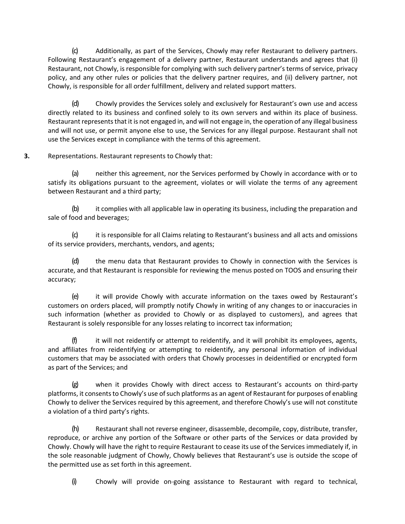(c) Additionally, as part of the Services, Chowly may refer Restaurant to delivery partners. Following Restaurant's engagement of a delivery partner, Restaurant understands and agrees that (i) Restaurant, not Chowly, is responsible for complying with such delivery partner's terms of service, privacy policy, and any other rules or policies that the delivery partner requires, and (ii) delivery partner, not Chowly, is responsible for all order fulfillment, delivery and related support matters.

(d) Chowly provides the Services solely and exclusively for Restaurant's own use and access directly related to its business and confined solely to its own servers and within its place of business. Restaurant represents that it is not engaged in, and will not engage in, the operation of any illegal business and will not use, or permit anyone else to use, the Services for any illegal purpose. Restaurant shall not use the Services except in compliance with the terms of this agreement.

# **3.** Representations. Restaurant represents to Chowly that:

(a) neither this agreement, nor the Services performed by Chowly in accordance with or to satisfy its obligations pursuant to the agreement, violates or will violate the terms of any agreement between Restaurant and a third party;

(b) it complies with all applicable law in operating its business, including the preparation and sale of food and beverages;

(c) it is responsible for all Claims relating to Restaurant's business and all acts and omissions of its service providers, merchants, vendors, and agents;

(d) the menu data that Restaurant provides to Chowly in connection with the Services is accurate, and that Restaurant is responsible for reviewing the menus posted on TOOS and ensuring their accuracy;

(e) it will provide Chowly with accurate information on the taxes owed by Restaurant's customers on orders placed, will promptly notify Chowly in writing of any changes to or inaccuracies in such information (whether as provided to Chowly or as displayed to customers), and agrees that Restaurant is solely responsible for any losses relating to incorrect tax information;

 $(f)$  it will not reidentify or attempt to reidentify, and it will prohibit its employees, agents, and affiliates from reidentifying or attempting to reidentify, any personal information of individual customers that may be associated with orders that Chowly processes in deidentified or encrypted form as part of the Services; and

(g) when it provides Chowly with direct access to Restaurant's accounts on third-party platforms, it consents to Chowly's use of such platforms as an agent of Restaurant for purposes of enabling Chowly to deliver the Services required by this agreement, and therefore Chowly's use will not constitute a violation of a third party's rights.

(h) Restaurant shall not reverse engineer, disassemble, decompile, copy, distribute, transfer, reproduce, or archive any portion of the Software or other parts of the Services or data provided by Chowly. Chowly will have the right to require Restaurant to cease its use of the Services immediately if, in the sole reasonable judgment of Chowly, Chowly believes that Restaurant's use is outside the scope of the permitted use as set forth in this agreement.

(i) Chowly will provide on-going assistance to Restaurant with regard to technical,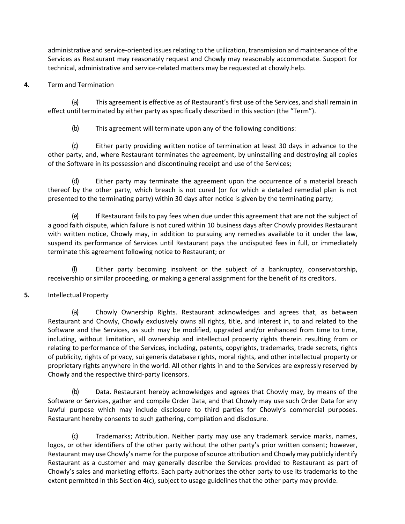administrative and service-oriented issues relating to the utilization, transmission and maintenance of the Services as Restaurant may reasonably request and Chowly may reasonably accommodate. Support for technical, administrative and service-related matters may be requested at chowly.help.

## **4.** Term and Termination

(a) This agreement is effective as of Restaurant's first use of the Services, and shall remain in effect until terminated by either party as specifically described in this section (the "Term").

(b) This agreement will terminate upon any of the following conditions:

(c) Either party providing written notice of termination at least 30 days in advance to the other party, and, where Restaurant terminates the agreement, by uninstalling and destroying all copies of the Software in its possession and discontinuing receipt and use of the Services;

(d) Either party may terminate the agreement upon the occurrence of a material breach thereof by the other party, which breach is not cured (or for which a detailed remedial plan is not presented to the terminating party) within 30 days after notice is given by the terminating party;

(e) If Restaurant fails to pay fees when due under this agreement that are not the subject of a good faith dispute, which failure is not cured within 10 business days after Chowly provides Restaurant with written notice, Chowly may, in addition to pursuing any remedies available to it under the law, suspend its performance of Services until Restaurant pays the undisputed fees in full, or immediately terminate this agreement following notice to Restaurant; or

(f) Either party becoming insolvent or the subject of a bankruptcy, conservatorship, receivership or similar proceeding, or making a general assignment for the benefit of its creditors.

#### **5.** Intellectual Property

(a) Chowly Ownership Rights. Restaurant acknowledges and agrees that, as between Restaurant and Chowly, Chowly exclusively owns all rights, title, and interest in, to and related to the Software and the Services, as such may be modified, upgraded and/or enhanced from time to time, including, without limitation, all ownership and intellectual property rights therein resulting from or relating to performance of the Services, including, patents, copyrights, trademarks, trade secrets, rights of publicity, rights of privacy, sui generis database rights, moral rights, and other intellectual property or proprietary rights anywhere in the world. All other rights in and to the Services are expressly reserved by Chowly and the respective third-party licensors.

(b) Data. Restaurant hereby acknowledges and agrees that Chowly may, by means of the Software or Services, gather and compile Order Data, and that Chowly may use such Order Data for any lawful purpose which may include disclosure to third parties for Chowly's commercial purposes. Restaurant hereby consents to such gathering, compilation and disclosure.

(c) Trademarks; Attribution. Neither party may use any trademark service marks, names, logos, or other identifiers of the other party without the other party's prior written consent; however, Restaurant may use Chowly's name for the purpose of source attribution and Chowly may publicly identify Restaurant as a customer and may generally describe the Services provided to Restaurant as part of Chowly's sales and marketing efforts. Each party authorizes the other party to use its trademarks to the extent permitted in this Section 4(c), subject to usage guidelines that the other party may provide.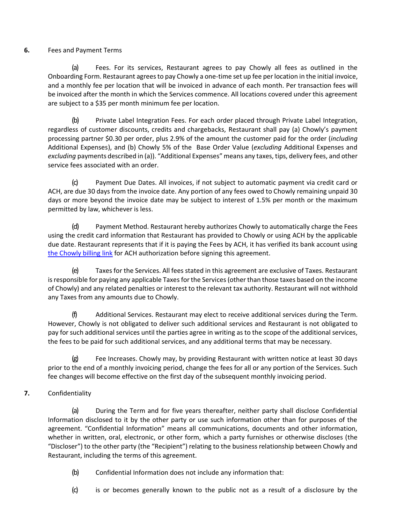# **6.** Fees and Payment Terms

(a) Fees. For its services, Restaurant agrees to pay Chowly all fees as outlined in the Onboarding Form. Restaurant agrees to pay Chowly a one-time set up fee per location in the initial invoice, and a monthly fee per location that will be invoiced in advance of each month. Per transaction fees will be invoiced after the month in which the Services commence. All locations covered under this agreement are subject to a \$35 per month minimum fee per location.

(b) Private Label Integration Fees. For each order placed through Private Label Integration, regardless of customer discounts, credits and chargebacks, Restaurant shall pay (a) Chowly's payment processing partner \$0.30 per order, plus 2.9% of the amount the customer paid for the order (*including* Additional Expenses), and (b) Chowly 5% of the Base Order Value (*excluding* Additional Expenses and *excluding* payments described in (a)). "Additional Expenses" means any taxes, tips, delivery fees, and other service fees associated with an order.

(c) Payment Due Dates. All invoices, if not subject to automatic payment via credit card or ACH, are due 30 days from the invoice date. Any portion of any fees owed to Chowly remaining unpaid 30 days or more beyond the invoice date may be subject to interest of 1.5% per month or the maximum permitted by law, whichever is less.

(d) Payment Method. Restaurant hereby authorizes Chowly to automatically charge the Fees using the credit card information that Restaurant has provided to Chowly or using ACH by the applicable due date. Restaurant represents that if it is paying the Fees by ACH, it has verified its bank account using [the Chowly billing link](https://billing.chowly.com/pages/sAL2Ym2PXssmV1HiLisC7dja) for ACH authorization before signing this agreement.

(e) Taxes for the Services. All fees stated in this agreement are exclusive of Taxes. Restaurant is responsible for paying any applicable Taxes for the Services (other than those taxes based on the income of Chowly) and any related penalties or interest to the relevant tax authority. Restaurant will not withhold any Taxes from any amounts due to Chowly.

(f) Additional Services. Restaurant may elect to receive additional services during the Term. However, Chowly is not obligated to deliver such additional services and Restaurant is not obligated to pay for such additional services until the parties agree in writing as to the scope of the additional services, the fees to be paid for such additional services, and any additional terms that may be necessary.

(g) Fee Increases. Chowly may, by providing Restaurant with written notice at least 30 days prior to the end of a monthly invoicing period, change the fees for all or any portion of the Services. Such fee changes will become effective on the first day of the subsequent monthly invoicing period.

# **7.** Confidentiality

(a) During the Term and for five years thereafter, neither party shall disclose Confidential Information disclosed to it by the other party or use such information other than for purposes of the agreement. "Confidential Information" means all communications, documents and other information, whether in written, oral, electronic, or other form, which a party furnishes or otherwise discloses (the "Discloser") to the other party (the "Recipient") relating to the business relationship between Chowly and Restaurant, including the terms of this agreement.

- (b) Confidential Information does not include any information that:
- (c) is or becomes generally known to the public not as a result of a disclosure by the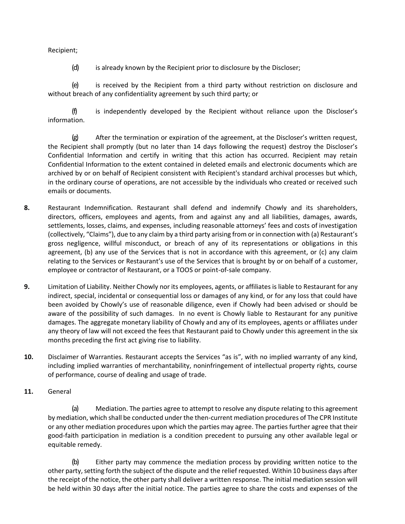Recipient;

(d) is already known by the Recipient prior to disclosure by the Discloser;

(e) is received by the Recipient from a third party without restriction on disclosure and without breach of any confidentiality agreement by such third party; or

(f) is independently developed by the Recipient without reliance upon the Discloser's information.

(g) After the termination or expiration of the agreement, at the Discloser's written request, the Recipient shall promptly (but no later than 14 days following the request) destroy the Discloser's Confidential Information and certify in writing that this action has occurred. Recipient may retain Confidential Information to the extent contained in deleted emails and electronic documents which are archived by or on behalf of Recipient consistent with Recipient's standard archival processes but which, in the ordinary course of operations, are not accessible by the individuals who created or received such emails or documents.

- **8.** Restaurant Indemnification. Restaurant shall defend and indemnify Chowly and its shareholders, directors, officers, employees and agents, from and against any and all liabilities, damages, awards, settlements, losses, claims, and expenses, including reasonable attorneys' fees and costs of investigation (collectively, "Claims"), due to any claim by a third party arising from or in connection with (a) Restaurant's gross negligence, willful misconduct, or breach of any of its representations or obligations in this agreement, (b) any use of the Services that is not in accordance with this agreement, or (c) any claim relating to the Services or Restaurant's use of the Services that is brought by or on behalf of a customer, employee or contractor of Restaurant, or a TOOS or point-of-sale company.
- **9.** Limitation of Liability. Neither Chowly nor its employees, agents, or affiliates is liable to Restaurant for any indirect, special, incidental or consequential loss or damages of any kind, or for any loss that could have been avoided by Chowly's use of reasonable diligence, even if Chowly had been advised or should be aware of the possibility of such damages. In no event is Chowly liable to Restaurant for any punitive damages. The aggregate monetary liability of Chowly and any of its employees, agents or affiliates under any theory of law will not exceed the fees that Restaurant paid to Chowly under this agreement in the six months preceding the first act giving rise to liability.
- **10.** Disclaimer of Warranties. Restaurant accepts the Services "as is", with no implied warranty of any kind, including implied warranties of merchantability, noninfringement of intellectual property rights, course of performance, course of dealing and usage of trade.
- **11.** General

(a) Mediation. The parties agree to attempt to resolve any dispute relating to this agreement by mediation, which shall be conducted under the then-current mediation procedures of The CPR Institute or any other mediation procedures upon which the parties may agree. The parties further agree that their good-faith participation in mediation is a condition precedent to pursuing any other available legal or equitable remedy.

(b) Either party may commence the mediation process by providing written notice to the other party, setting forth the subject of the dispute and the relief requested. Within 10 business days after the receipt of the notice, the other party shall deliver a written response. The initial mediation session will be held within 30 days after the initial notice. The parties agree to share the costs and expenses of the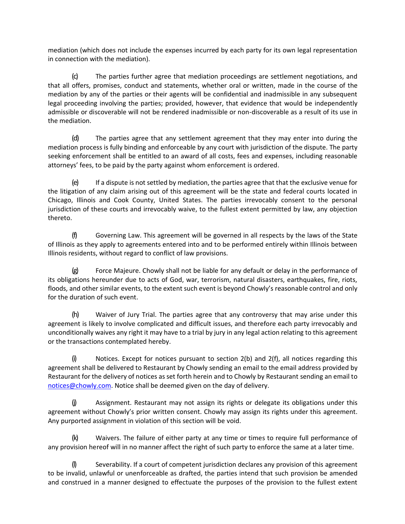mediation (which does not include the expenses incurred by each party for its own legal representation in connection with the mediation).

(c) The parties further agree that mediation proceedings are settlement negotiations, and that all offers, promises, conduct and statements, whether oral or written, made in the course of the mediation by any of the parties or their agents will be confidential and inadmissible in any subsequent legal proceeding involving the parties; provided, however, that evidence that would be independently admissible or discoverable will not be rendered inadmissible or non-discoverable as a result of its use in the mediation.

(d) The parties agree that any settlement agreement that they may enter into during the mediation process is fully binding and enforceable by any court with jurisdiction of the dispute. The party seeking enforcement shall be entitled to an award of all costs, fees and expenses, including reasonable attorneys' fees, to be paid by the party against whom enforcement is ordered.

(e) If a dispute is not settled by mediation, the parties agree that that the exclusive venue for the litigation of any claim arising out of this agreement will be the state and federal courts located in Chicago, Illinois and Cook County, United States. The parties irrevocably consent to the personal jurisdiction of these courts and irrevocably waive, to the fullest extent permitted by law, any objection thereto.

(f) Governing Law. This agreement will be governed in all respects by the laws of the State of Illinois as they apply to agreements entered into and to be performed entirely within Illinois between Illinois residents, without regard to conflict of law provisions.

(g) Force Majeure. Chowly shall not be liable for any default or delay in the performance of its obligations hereunder due to acts of God, war, terrorism, natural disasters, earthquakes, fire, riots, floods, and other similar events, to the extent such event is beyond Chowly's reasonable control and only for the duration of such event.

(h) Waiver of Jury Trial. The parties agree that any controversy that may arise under this agreement is likely to involve complicated and difficult issues, and therefore each party irrevocably and unconditionally waives any right it may have to a trial by jury in any legal action relating to this agreement or the transactions contemplated hereby.

Notices. Except for notices pursuant to section  $2(b)$  and  $2(f)$ , all notices regarding this agreement shall be delivered to Restaurant by Chowly sending an email to the email address provided by Restaurant for the delivery of notices as set forth herein and to Chowly by Restaurant sending an email to [notices@chowly.com.](mailto:notices@chowly.com,) Notice shall be deemed given on the day of delivery.

(j) Assignment. Restaurant may not assign its rights or delegate its obligations under this agreement without Chowly's prior written consent. Chowly may assign its rights under this agreement. Any purported assignment in violation of this section will be void.

(k) Waivers. The failure of either party at any time or times to require full performance of any provision hereof will in no manner affect the right of such party to enforce the same at a later time.

(l) Severability. If a court of competent jurisdiction declares any provision of this agreement to be invalid, unlawful or unenforceable as drafted, the parties intend that such provision be amended and construed in a manner designed to effectuate the purposes of the provision to the fullest extent